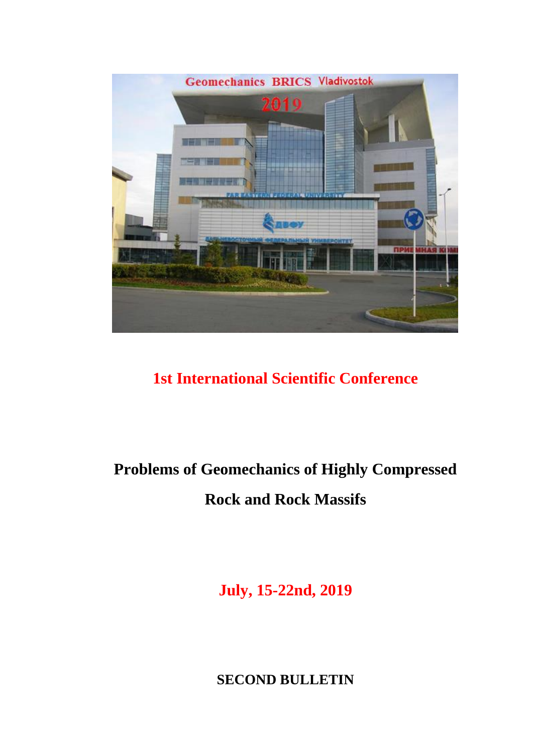

# **1st International Scientific Conference**

# **Problems of Geomechanics of Highly Compressed Rock and Rock Massifs**

**July, 15-22nd, 2019**

**SECOND BULLETIN**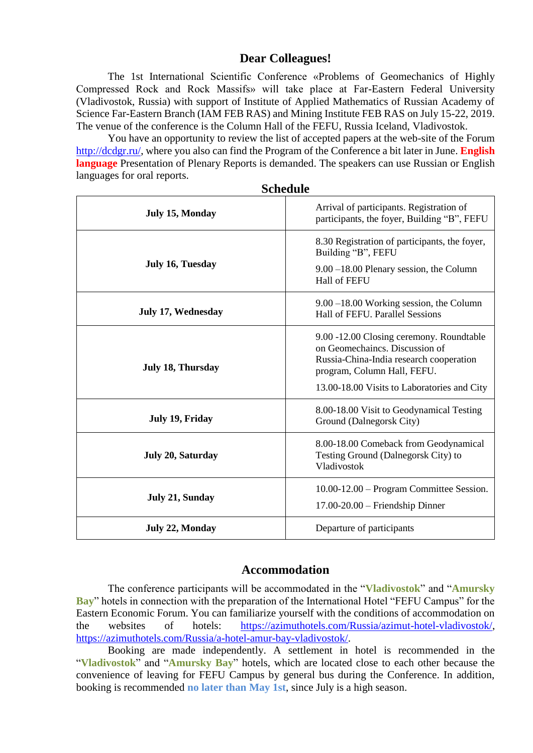## **Dear Colleagues!**

The 1st International Scientific Conference «Problems of Geomechanics of Highly Compressed Rock and Rock Massifs» will take place at Far-Eastern Federal University (Vladivostok, Russia) with support of Institute of Applied Mathematics of Russian Academy of Science Far-Eastern Branch (IAM FEB RAS) and Mining Institute FEB RAS on July 15-22, 2019. The venue of the conference is the Column Hall of the FEFU, Russia Iceland, Vladivostok.

You have an opportunity to review the list of accepted papers at the web-site of the Forum [http://dcdgr.ru/,](http://dcdgr.ru/) where you also can find the Program of the Conference a bit later in June. **English language** Presentation of Plenary Reports is demanded. The speakers can use Russian or English languages for oral reports.

| peneuaie                 |                                                                                                                                                                                                     |  |  |  |  |  |
|--------------------------|-----------------------------------------------------------------------------------------------------------------------------------------------------------------------------------------------------|--|--|--|--|--|
| <b>July 15, Monday</b>   | Arrival of participants. Registration of<br>participants, the foyer, Building "B", FEFU                                                                                                             |  |  |  |  |  |
| July 16, Tuesday         | 8.30 Registration of participants, the foyer,<br>Building "B", FEFU<br>9.00 -18.00 Plenary session, the Column<br><b>Hall of FEFU</b>                                                               |  |  |  |  |  |
| July 17, Wednesday       | $9.00 - 18.00$ Working session, the Column<br>Hall of FEFU. Parallel Sessions                                                                                                                       |  |  |  |  |  |
| July 18, Thursday        | 9.00 -12.00 Closing ceremony. Roundtable<br>on Geomechaincs. Discussion of<br>Russia-China-India research cooperation<br>program, Column Hall, FEFU.<br>13.00-18.00 Visits to Laboratories and City |  |  |  |  |  |
| July 19, Friday          | 8.00-18.00 Visit to Geodynamical Testing<br>Ground (Dalnegorsk City)                                                                                                                                |  |  |  |  |  |
| <b>July 20, Saturday</b> | 8.00-18.00 Comeback from Geodynamical<br>Testing Ground (Dalnegorsk City) to<br>Vladivostok                                                                                                         |  |  |  |  |  |
| <b>July 21, Sunday</b>   | 10.00-12.00 – Program Committee Session.<br>17.00-20.00 - Friendship Dinner                                                                                                                         |  |  |  |  |  |
| July 22, Monday          | Departure of participants                                                                                                                                                                           |  |  |  |  |  |

#### **Schedule**

### **Accommodation**

The conference participants will be accommodated in the "**Vladivostok**" and "**Amursky Bay**" hotels in connection with the preparation of the International Hotel "FEFU Campus" for the Eastern Economic Forum. You can familiarize yourself with the conditions of accommodation on the websites of hotels: [https://azimuthotels.com/Russia/azimut-hotel-vladivostok/,](https://azimuthotels.com/Russia/azimut-hotel-vladivostok/) [https://azimuthotels.com/Russia/a-hotel-amur-bay-vladivostok/.](https://azimuthotels.com/Russia/a-hotel-amur-bay-vladivostok/)

Booking are made independently. A settlement in hotel is recommended in the "**Vladivostok**" and "**Amursky Bay**" hotels, which are located close to each other because the convenience of leaving for FEFU Campus by general bus during the Conference. In addition, booking is recommended **no later than May 1st**, since July is a high season.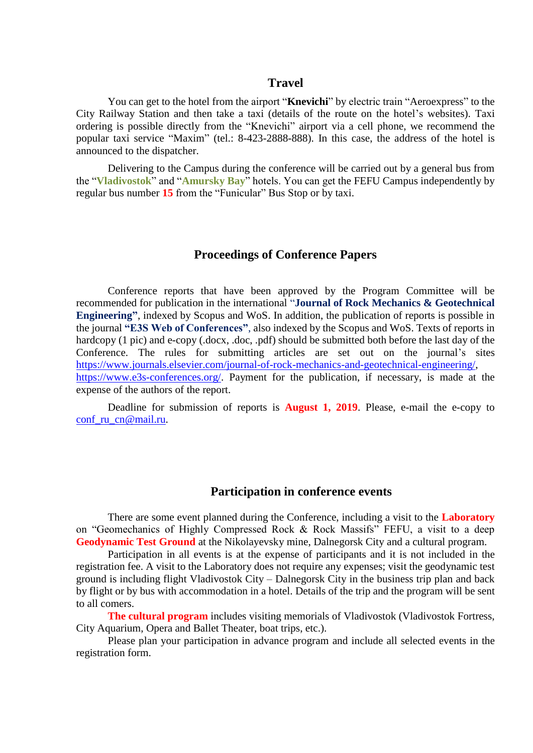#### **Travel**

You can get to the hotel from the airport "**Knevichi**" by electric train "Aeroexpress" to the City Railway Station and then take a taxi (details of the route on the hotel's websites). Taxi ordering is possible directly from the "Knevichi" airport via a cell phone, we recommend the popular taxi service "Maxim" (tel.: 8-423-2888-888). In this case, the address of the hotel is announced to the dispatcher.

Delivering to the Campus during the conference will be carried out by a general bus from the "**Vladivostok**" and "**Amursky Bay**" hotels. You can get the FEFU Campus independently by regular bus number **15** from the "Funicular" Bus Stop or by taxi.

# **Proceedings of Conference Papers**

Conference reports that have been approved by the Program Committee will be recommended for publication in the international "**Journal of Rock Mechanics & Geotechnical Engineering"**, indexed by Scopus and WoS. In addition, the publication of reports is possible in the journal **"E3S Web of Conferences"**, also indexed by the Scopus and WoS. Texts of reports in hardcopy (1 pic) and e-copy (.docx, .doc, .pdf) should be submitted both before the last day of the Conference. The rules for submitting articles are set out on the journal's sites [https://www.journals.elsevier.com/journal-of-rock-mechanics-and-geotechnical-engineering/,](https://www.journals.elsevier.com/journal-of-rock-mechanics-and-geotechnical-engineering/) [https://www.e3s-conferences.org/.](https://www.e3s-conferences.org/) Payment for the publication, if necessary, is made at the expense of the authors of the report.

Deadline for submission of reports is **August 1, 2019**. Please, e-mail the e-copy to conf ru cn@mail.ru.

#### **Participation in conference events**

There are some event planned during the Conference, including a visit to the **Laboratory** on "Geomechanics of Highly Compressed Rock & Rock Massifs" FEFU, a visit to a deep **Geodynamic Test Ground** at the Nikolayevsky mine, Dalnegorsk City and a cultural program.

Participation in all events is at the expense of participants and it is not included in the registration fee. A visit to the Laboratory does not require any expenses; visit the geodynamic test ground is including flight Vladivostok City – Dalnegorsk City in the business trip plan and back by flight or by bus with accommodation in a hotel. Details of the trip and the program will be sent to all comers.

**The cultural program** includes visiting memorials of Vladivostok (Vladivostok Fortress, City Aquarium, Opera and Ballet Theater, boat trips, etc.).

Please plan your participation in advance program and include all selected events in the registration form.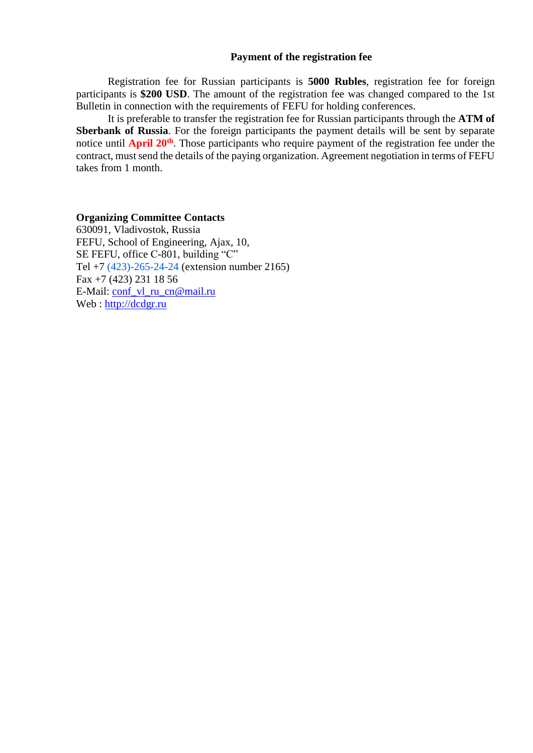#### **Payment of the registration fee**

Registration fee for Russian participants is **5000 Rubles**, registration fee for foreign participants is **\$200 USD**. The amount of the registration fee was changed compared to the 1st Bulletin in connection with the requirements of FEFU for holding conferences.

It is preferable to transfer the registration fee for Russian participants through the **ATM of Sberbank of Russia**. For the foreign participants the payment details will be sent by separate notice until **April 20th**. Those participants who require payment of the registration fee under the contract, must send the details of the paying organization. Agreement negotiation in terms of FEFU takes from 1 month.

#### **Organizing Committee Contacts**

630091, Vladivostok, Russia FEFU, School of Engineering, Ajax, 10, SE FEFU, office С-801, building "C" Tel +7 (423)-265-24-24 (extension number 2165) Fax +7 (423) 231 18 56 E-Mail: [conf\\_vl\\_ru\\_cn@mail.ru](mailto:conf_vl_ru_cn@mail.ru) Web : [http://dcdgr.ru](http://dcdgr.ru/)